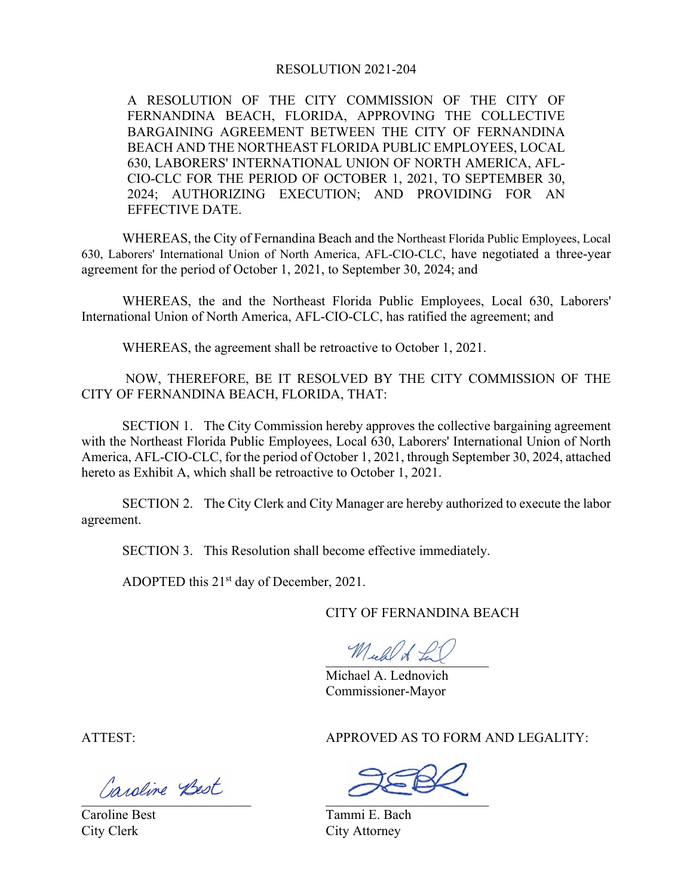#### RESOLUTION 2021-204

A RESOLUTION OF THE CITY COMMISSION OF THE CITY OF FERNANDINA BEACH, FLORIDA, APPROVING THE COLLECTIVE BARGAINING AGREEMENT BETWEEN THE CITY OF FERNANDINA BEACH AND THE NORTHEAST FLORIDA PUBLIC EMPLOYEES, LOCAL 630, LABORERS' INTERNATIONAL UNION OF NORTH AMERICA, AFL-CIO-CLC FOR THE PERIOD OF OCTOBER 1, 2021, TO SEPTEMBER 30, 2024; AUTHORIZING EXECUTION; AND PROVIDING FOR AN EFFECTIVE DATE.

WHEREAS, the City of Fernandina Beach and the Northeast Florida Public Employees, Local 630, Laborers' International Union of North America, AFL-CIO-CLC, have negotiated a three-year agreement for the period of October 1, 2021, to September 30, 2024; and

WHEREAS, the and the Northeast Florida Public Employees, Local 630, Laborers' International Union of North America, AFL-CIO-CLC, has ratified the agreement; and

WHEREAS, the agreement shall be retroactive to October 1, 2021.

NOW, THEREFORE, BE IT RESOLVED BY THE CITY COMMISSION OF THE CITY OF FERNANDINA BEACH, FLORIDA, THAT:

SECTION 1. The City Commission hereby approves the collective bargaining agreement with the Northeast Florida Public Employees, Local 630, Laborers' International Union of North America, AFL-CIO-CLC, for the period of October 1, 2021, through September 30, 2024, attached hereto as Exhibit A, which shall be retroactive to October 1, 2021.

SECTION 2. The City Clerk and City Manager are hereby authorized to execute the labor agreement.

SECTION 3. This Resolution shall become effective immediately.

ADOPTED this  $21<sup>st</sup>$  day of December, 2021.

CITY OF FERNANDINA BEACH

Mich of La

Michael A. Lednovich Commissioner-Mayor

ATTEST: APPROVED AS TO FORM AND LEGALITY:

\_\_\_\_\_\_\_\_\_\_\_\_\_\_\_\_\_\_\_\_\_\_\_\_\_ \_\_\_\_\_\_\_\_\_\_\_\_\_\_\_\_\_\_\_\_\_\_\_\_

Caroline Best Tammi E. Bach City Clerk City Attorney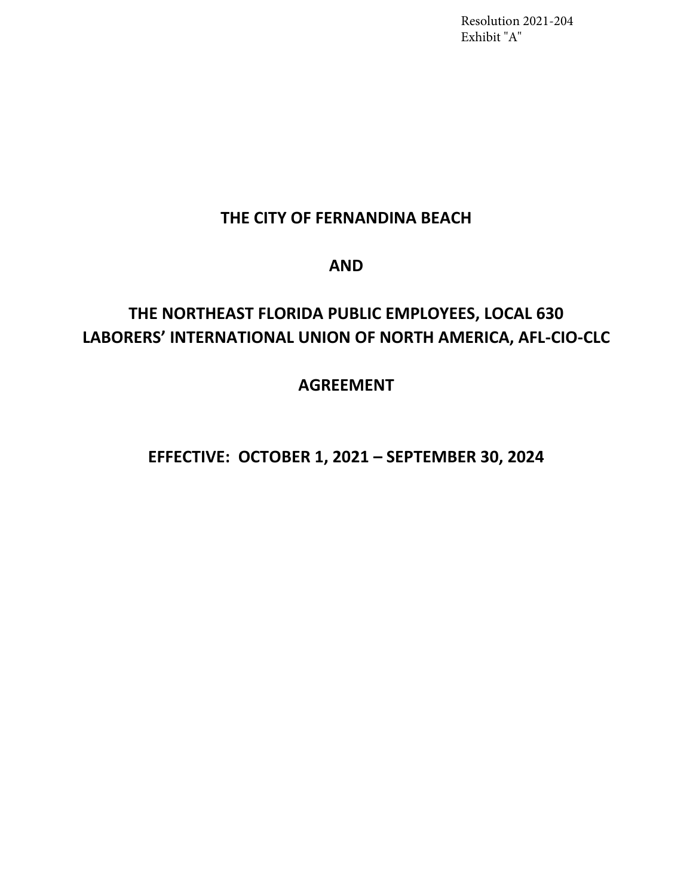Resolution 2021-204 Exhibit "A"

# **THE CITY OF FERNANDINA BEACH**

## **AND**

# **THE NORTHEAST FLORIDA PUBLIC EMPLOYEES, LOCAL 630 LABORERS' INTERNATIONAL UNION OF NORTH AMERICA, AFL-CIO-CLC**

# **AGREEMENT**

# **EFFECTIVE: OCTOBER 1, 2021 – SEPTEMBER 30, 2024**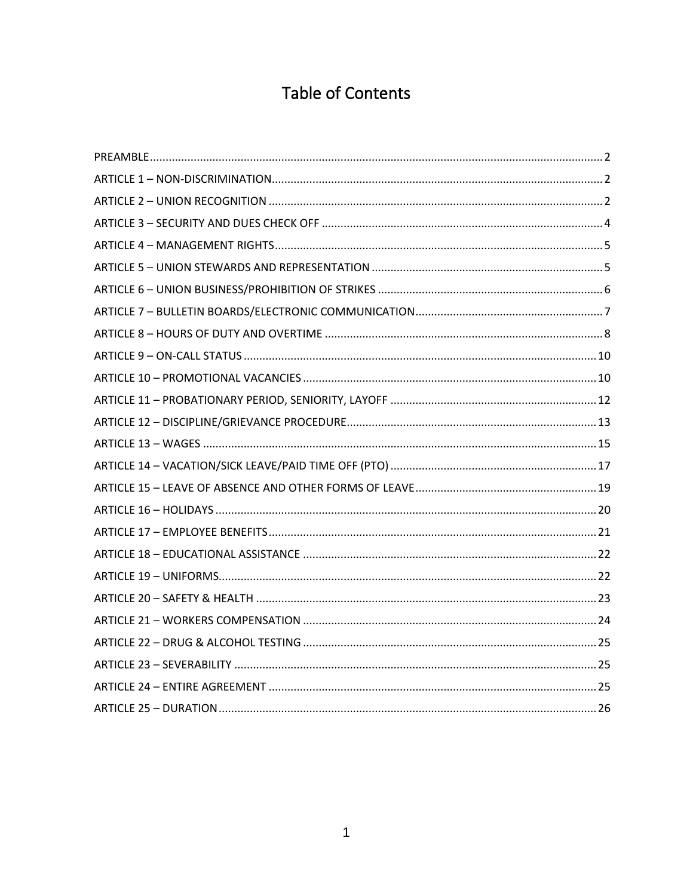# **Table of Contents**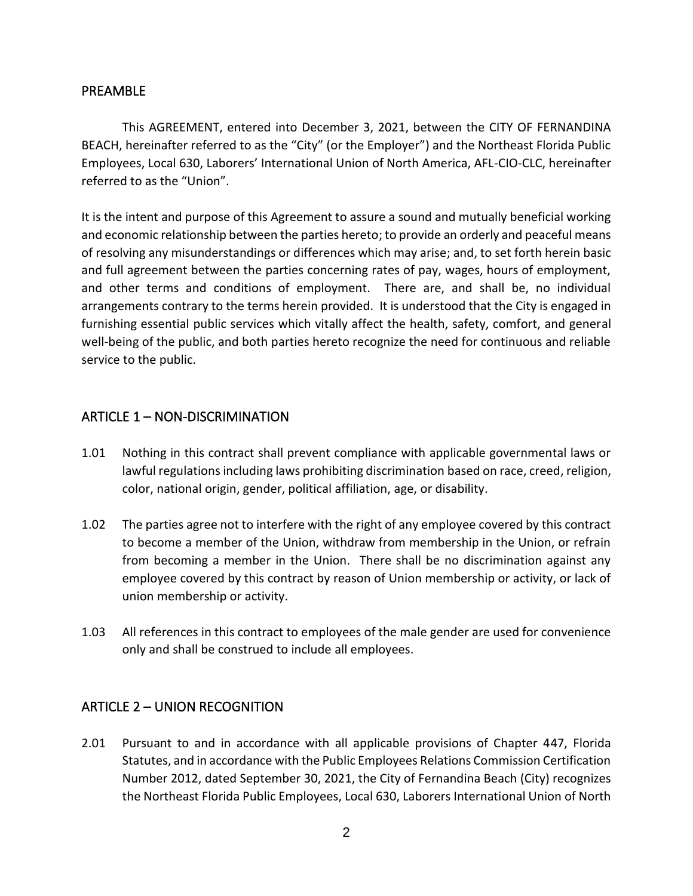#### <span id="page-3-0"></span>PREAMBLE

This AGREEMENT, entered into December 3, 2021, between the CITY OF FERNANDINA BEACH, hereinafter referred to as the "City" (or the Employer") and the Northeast Florida Public Employees, Local 630, Laborers' International Union of North America, AFL-CIO-CLC, hereinafter referred to as the "Union".

It is the intent and purpose of this Agreement to assure a sound and mutually beneficial working and economic relationship between the parties hereto; to provide an orderly and peaceful means of resolving any misunderstandings or differences which may arise; and, to set forth herein basic and full agreement between the parties concerning rates of pay, wages, hours of employment, and other terms and conditions of employment. There are, and shall be, no individual arrangements contrary to the terms herein provided. It is understood that the City is engaged in furnishing essential public services which vitally affect the health, safety, comfort, and general well-being of the public, and both parties hereto recognize the need for continuous and reliable service to the public.

#### <span id="page-3-1"></span>ARTICLE 1 – NON-DISCRIMINATION

- 1.01 Nothing in this contract shall prevent compliance with applicable governmental laws or lawful regulations including laws prohibiting discrimination based on race, creed, religion, color, national origin, gender, political affiliation, age, or disability.
- 1.02 The parties agree not to interfere with the right of any employee covered by this contract to become a member of the Union, withdraw from membership in the Union, or refrain from becoming a member in the Union. There shall be no discrimination against any employee covered by this contract by reason of Union membership or activity, or lack of union membership or activity.
- 1.03 All references in this contract to employees of the male gender are used for convenience only and shall be construed to include all employees.

## <span id="page-3-2"></span>ARTICLE 2 – UNION RECOGNITION

2.01 Pursuant to and in accordance with all applicable provisions of Chapter 447, Florida Statutes, and in accordance with the Public Employees Relations Commission Certification Number 2012, dated September 30, 2021, the City of Fernandina Beach (City) recognizes the Northeast Florida Public Employees, Local 630, Laborers International Union of North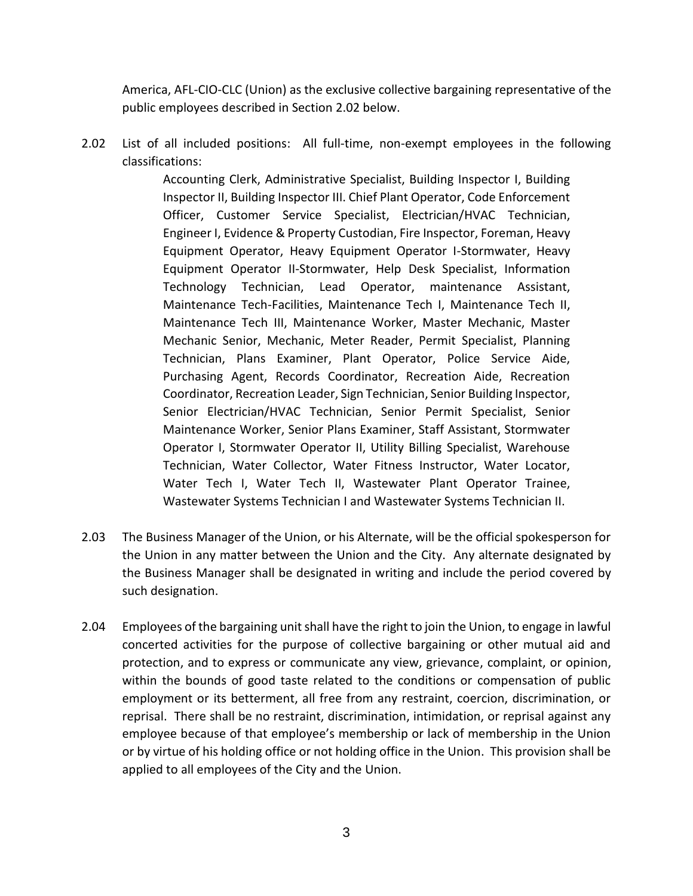America, AFL-CIO-CLC (Union) as the exclusive collective bargaining representative of the public employees described in Section 2.02 below.

2.02 List of all included positions: All full-time, non-exempt employees in the following classifications:

> Accounting Clerk, Administrative Specialist, Building Inspector I, Building Inspector II, Building Inspector III. Chief Plant Operator, Code Enforcement Officer, Customer Service Specialist, Electrician/HVAC Technician, Engineer I, Evidence & Property Custodian, Fire Inspector, Foreman, Heavy Equipment Operator, Heavy Equipment Operator I-Stormwater, Heavy Equipment Operator II-Stormwater, Help Desk Specialist, Information Technology Technician, Lead Operator, maintenance Assistant, Maintenance Tech-Facilities, Maintenance Tech I, Maintenance Tech II, Maintenance Tech III, Maintenance Worker, Master Mechanic, Master Mechanic Senior, Mechanic, Meter Reader, Permit Specialist, Planning Technician, Plans Examiner, Plant Operator, Police Service Aide, Purchasing Agent, Records Coordinator, Recreation Aide, Recreation Coordinator, Recreation Leader, Sign Technician, Senior Building Inspector, Senior Electrician/HVAC Technician, Senior Permit Specialist, Senior Maintenance Worker, Senior Plans Examiner, Staff Assistant, Stormwater Operator I, Stormwater Operator II, Utility Billing Specialist, Warehouse Technician, Water Collector, Water Fitness Instructor, Water Locator, Water Tech I, Water Tech II, Wastewater Plant Operator Trainee, Wastewater Systems Technician I and Wastewater Systems Technician II.

- 2.03 The Business Manager of the Union, or his Alternate, will be the official spokesperson for the Union in any matter between the Union and the City. Any alternate designated by the Business Manager shall be designated in writing and include the period covered by such designation.
- 2.04 Employees of the bargaining unit shall have the right to join the Union, to engage in lawful concerted activities for the purpose of collective bargaining or other mutual aid and protection, and to express or communicate any view, grievance, complaint, or opinion, within the bounds of good taste related to the conditions or compensation of public employment or its betterment, all free from any restraint, coercion, discrimination, or reprisal. There shall be no restraint, discrimination, intimidation, or reprisal against any employee because of that employee's membership or lack of membership in the Union or by virtue of his holding office or not holding office in the Union. This provision shall be applied to all employees of the City and the Union.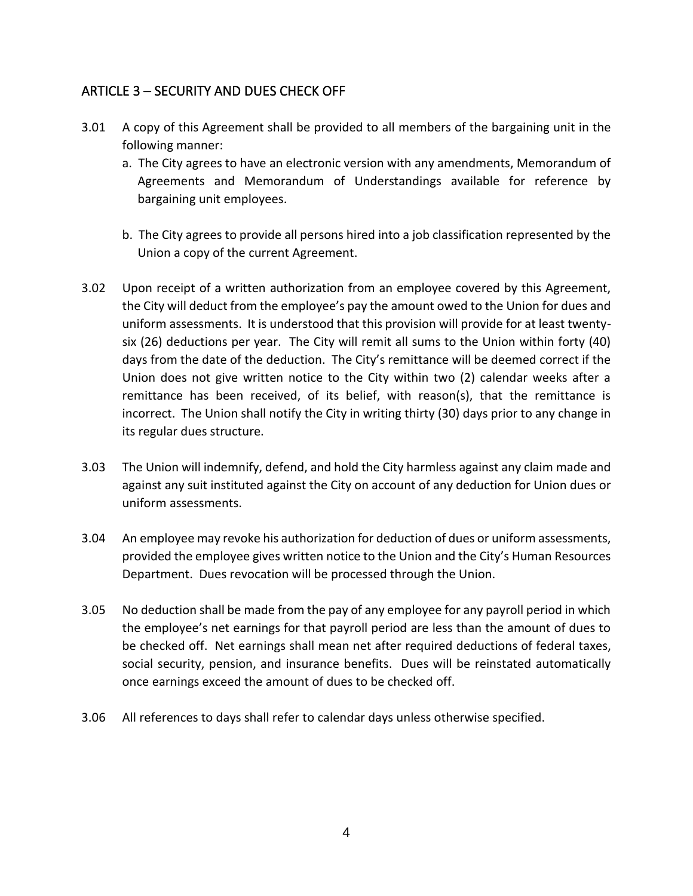## <span id="page-5-0"></span>ARTICLE 3 – SECURITY AND DUES CHECK OFF

- 3.01 A copy of this Agreement shall be provided to all members of the bargaining unit in the following manner:
	- a. The City agrees to have an electronic version with any amendments, Memorandum of Agreements and Memorandum of Understandings available for reference by bargaining unit employees.
	- b. The City agrees to provide all persons hired into a job classification represented by the Union a copy of the current Agreement.
- 3.02 Upon receipt of a written authorization from an employee covered by this Agreement, the City will deduct from the employee's pay the amount owed to the Union for dues and uniform assessments. It is understood that this provision will provide for at least twentysix (26) deductions per year. The City will remit all sums to the Union within forty (40) days from the date of the deduction. The City's remittance will be deemed correct if the Union does not give written notice to the City within two (2) calendar weeks after a remittance has been received, of its belief, with reason(s), that the remittance is incorrect. The Union shall notify the City in writing thirty (30) days prior to any change in its regular dues structure.
- 3.03 The Union will indemnify, defend, and hold the City harmless against any claim made and against any suit instituted against the City on account of any deduction for Union dues or uniform assessments.
- 3.04 An employee may revoke his authorization for deduction of dues or uniform assessments, provided the employee gives written notice to the Union and the City's Human Resources Department. Dues revocation will be processed through the Union.
- 3.05 No deduction shall be made from the pay of any employee for any payroll period in which the employee's net earnings for that payroll period are less than the amount of dues to be checked off. Net earnings shall mean net after required deductions of federal taxes, social security, pension, and insurance benefits. Dues will be reinstated automatically once earnings exceed the amount of dues to be checked off.
- 3.06 All references to days shall refer to calendar days unless otherwise specified.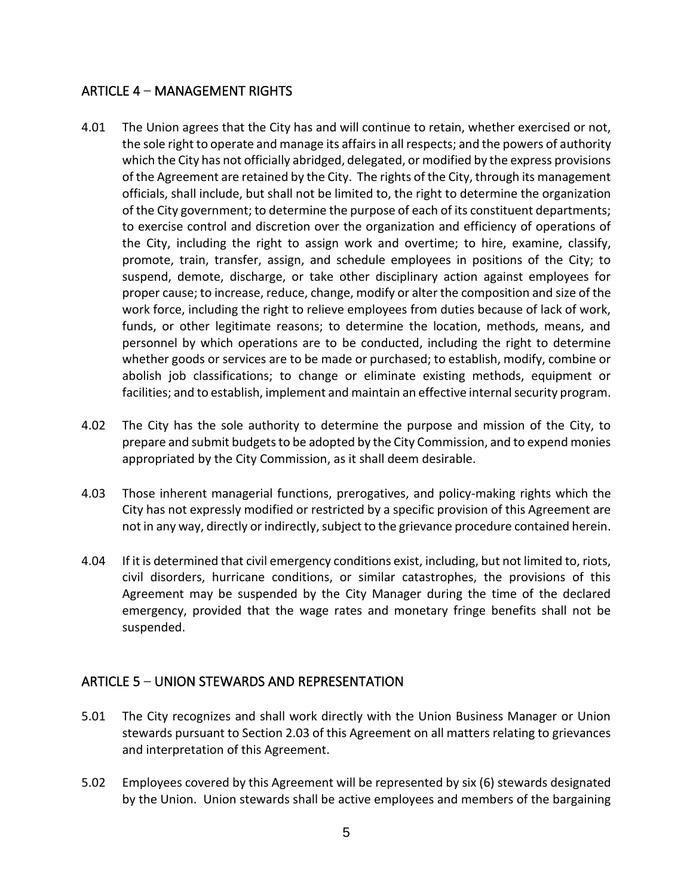## <span id="page-6-0"></span>ARTICLE 4 – MANAGEMENT RIGHTS

- 4.01 The Union agrees that the City has and will continue to retain, whether exercised or not, the sole right to operate and manage its affairs in all respects; and the powers of authority which the City has not officially abridged, delegated, or modified by the express provisions of the Agreement are retained by the City. The rights of the City, through its management officials, shall include, but shall not be limited to, the right to determine the organization of the City government; to determine the purpose of each of its constituent departments; to exercise control and discretion over the organization and efficiency of operations of the City, including the right to assign work and overtime; to hire, examine, classify, promote, train, transfer, assign, and schedule employees in positions of the City; to suspend, demote, discharge, or take other disciplinary action against employees for proper cause; to increase, reduce, change, modify or alter the composition and size of the work force, including the right to relieve employees from duties because of lack of work, funds, or other legitimate reasons; to determine the location, methods, means, and personnel by which operations are to be conducted, including the right to determine whether goods or services are to be made or purchased; to establish, modify, combine or abolish job classifications; to change or eliminate existing methods, equipment or facilities; and to establish, implement and maintain an effective internal security program.
- 4.02 The City has the sole authority to determine the purpose and mission of the City, to prepare and submit budgets to be adopted by the City Commission, and to expend monies appropriated by the City Commission, as it shall deem desirable.
- 4.03 Those inherent managerial functions, prerogatives, and policy-making rights which the City has not expressly modified or restricted by a specific provision of this Agreement are not in any way, directly or indirectly, subject to the grievance procedure contained herein.
- 4.04 If it is determined that civil emergency conditions exist, including, but not limited to, riots, civil disorders, hurricane conditions, or similar catastrophes, the provisions of this Agreement may be suspended by the City Manager during the time of the declared emergency, provided that the wage rates and monetary fringe benefits shall not be suspended.

#### <span id="page-6-1"></span>ARTICLE 5 – UNION STEWARDS AND REPRESENTATION

- 5.01 The City recognizes and shall work directly with the Union Business Manager or Union stewards pursuant to Section 2.03 of this Agreement on all matters relating to grievances and interpretation of this Agreement.
- 5.02 Employees covered by this Agreement will be represented by six (6) stewards designated by the Union. Union stewards shall be active employees and members of the bargaining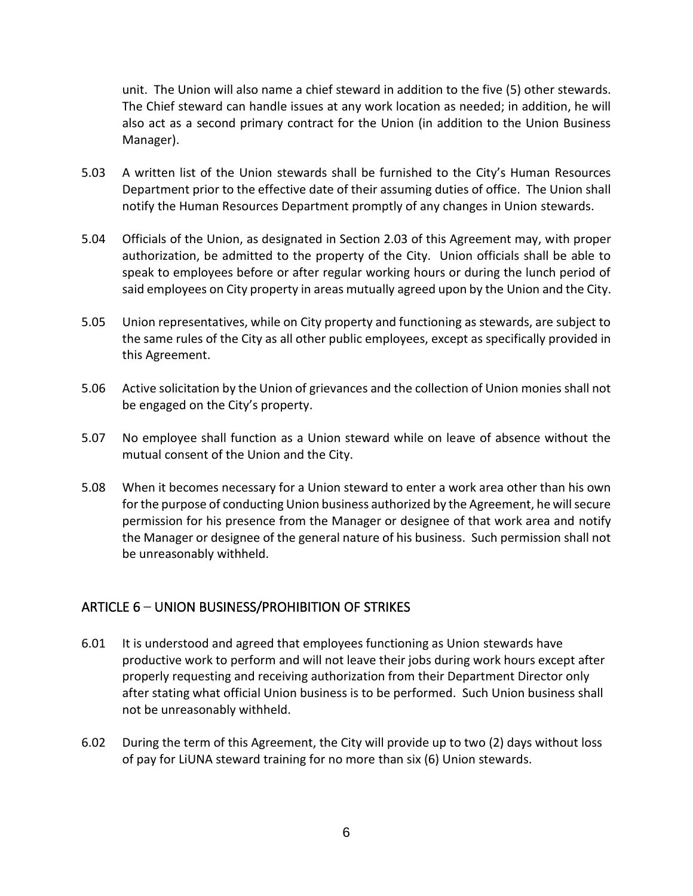unit. The Union will also name a chief steward in addition to the five (5) other stewards. The Chief steward can handle issues at any work location as needed; in addition, he will also act as a second primary contract for the Union (in addition to the Union Business Manager).

- 5.03 A written list of the Union stewards shall be furnished to the City's Human Resources Department prior to the effective date of their assuming duties of office. The Union shall notify the Human Resources Department promptly of any changes in Union stewards.
- 5.04 Officials of the Union, as designated in Section 2.03 of this Agreement may, with proper authorization, be admitted to the property of the City. Union officials shall be able to speak to employees before or after regular working hours or during the lunch period of said employees on City property in areas mutually agreed upon by the Union and the City.
- 5.05 Union representatives, while on City property and functioning as stewards, are subject to the same rules of the City as all other public employees, except as specifically provided in this Agreement.
- 5.06 Active solicitation by the Union of grievances and the collection of Union monies shall not be engaged on the City's property.
- 5.07 No employee shall function as a Union steward while on leave of absence without the mutual consent of the Union and the City.
- 5.08 When it becomes necessary for a Union steward to enter a work area other than his own for the purpose of conducting Union business authorized by the Agreement, he will secure permission for his presence from the Manager or designee of that work area and notify the Manager or designee of the general nature of his business. Such permission shall not be unreasonably withheld.

#### <span id="page-7-0"></span>ARTICLE 6 – UNION BUSINESS/PROHIBITION OF STRIKES

- 6.01 It is understood and agreed that employees functioning as Union stewards have productive work to perform and will not leave their jobs during work hours except after properly requesting and receiving authorization from their Department Director only after stating what official Union business is to be performed. Such Union business shall not be unreasonably withheld.
- 6.02 During the term of this Agreement, the City will provide up to two (2) days without loss of pay for LiUNA steward training for no more than six (6) Union stewards.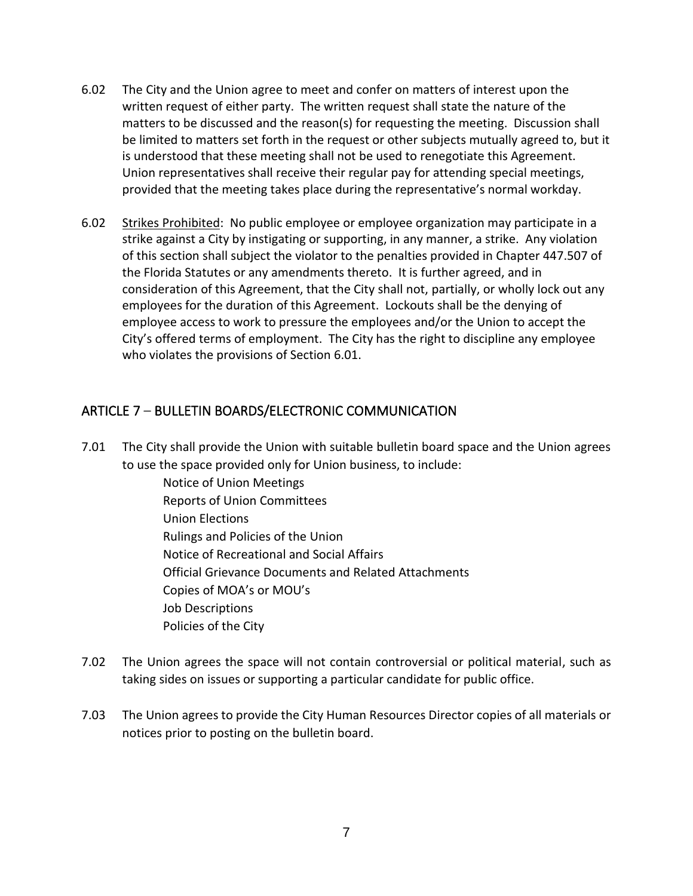- 6.02 The City and the Union agree to meet and confer on matters of interest upon the written request of either party. The written request shall state the nature of the matters to be discussed and the reason(s) for requesting the meeting. Discussion shall be limited to matters set forth in the request or other subjects mutually agreed to, but it is understood that these meeting shall not be used to renegotiate this Agreement. Union representatives shall receive their regular pay for attending special meetings, provided that the meeting takes place during the representative's normal workday.
- 6.02 Strikes Prohibited: No public employee or employee organization may participate in a strike against a City by instigating or supporting, in any manner, a strike. Any violation of this section shall subject the violator to the penalties provided in Chapter 447.507 of the Florida Statutes or any amendments thereto. It is further agreed, and in consideration of this Agreement, that the City shall not, partially, or wholly lock out any employees for the duration of this Agreement. Lockouts shall be the denying of employee access to work to pressure the employees and/or the Union to accept the City's offered terms of employment. The City has the right to discipline any employee who violates the provisions of Section 6.01.

## <span id="page-8-0"></span>ARTICLE 7 – BULLETIN BOARDS/ELECTRONIC COMMUNICATION

7.01 The City shall provide the Union with suitable bulletin board space and the Union agrees to use the space provided only for Union business, to include:

Notice of Union Meetings Reports of Union Committees Union Elections Rulings and Policies of the Union Notice of Recreational and Social Affairs Official Grievance Documents and Related Attachments Copies of MOA's or MOU's Job Descriptions Policies of the City

- 7.02 The Union agrees the space will not contain controversial or political material, such as taking sides on issues or supporting a particular candidate for public office.
- 7.03 The Union agrees to provide the City Human Resources Director copies of all materials or notices prior to posting on the bulletin board.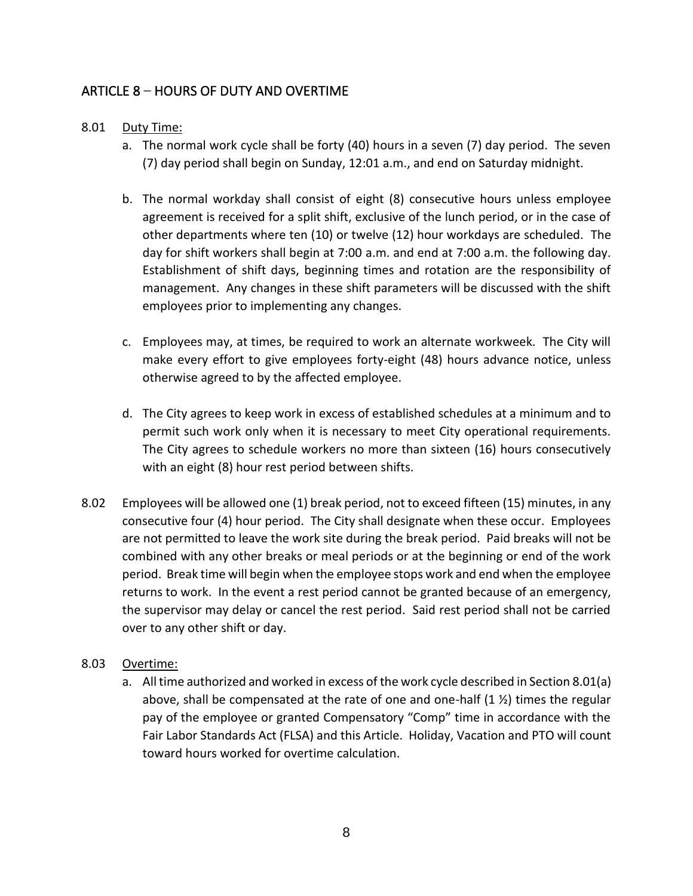## <span id="page-9-0"></span>ARTICLE 8 – HOURS OF DUTY AND OVERTIME

#### 8.01 Duty Time:

- a. The normal work cycle shall be forty (40) hours in a seven (7) day period. The seven (7) day period shall begin on Sunday, 12:01 a.m., and end on Saturday midnight.
- b. The normal workday shall consist of eight (8) consecutive hours unless employee agreement is received for a split shift, exclusive of the lunch period, or in the case of other departments where ten (10) or twelve (12) hour workdays are scheduled. The day for shift workers shall begin at 7:00 a.m. and end at 7:00 a.m. the following day. Establishment of shift days, beginning times and rotation are the responsibility of management. Any changes in these shift parameters will be discussed with the shift employees prior to implementing any changes.
- c. Employees may, at times, be required to work an alternate workweek. The City will make every effort to give employees forty-eight (48) hours advance notice, unless otherwise agreed to by the affected employee.
- d. The City agrees to keep work in excess of established schedules at a minimum and to permit such work only when it is necessary to meet City operational requirements. The City agrees to schedule workers no more than sixteen (16) hours consecutively with an eight (8) hour rest period between shifts.
- 8.02 Employees will be allowed one (1) break period, not to exceed fifteen (15) minutes, in any consecutive four (4) hour period. The City shall designate when these occur. Employees are not permitted to leave the work site during the break period. Paid breaks will not be combined with any other breaks or meal periods or at the beginning or end of the work period. Break time will begin when the employee stops work and end when the employee returns to work. In the event a rest period cannot be granted because of an emergency, the supervisor may delay or cancel the rest period. Said rest period shall not be carried over to any other shift or day.

#### 8.03 Overtime:

a. All time authorized and worked in excess of the work cycle described in Section 8.01(a) above, shall be compensated at the rate of one and one-half  $(1 \frac{1}{2})$  times the regular pay of the employee or granted Compensatory "Comp" time in accordance with the Fair Labor Standards Act (FLSA) and this Article. Holiday, Vacation and PTO will count toward hours worked for overtime calculation.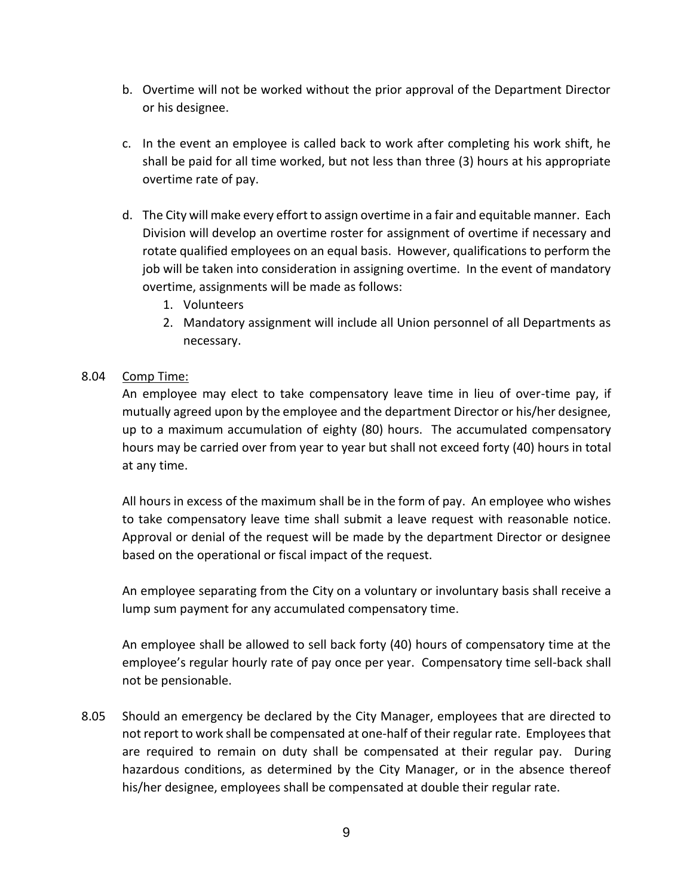- b. Overtime will not be worked without the prior approval of the Department Director or his designee.
- c. In the event an employee is called back to work after completing his work shift, he shall be paid for all time worked, but not less than three (3) hours at his appropriate overtime rate of pay.
- d. The City will make every effort to assign overtime in a fair and equitable manner. Each Division will develop an overtime roster for assignment of overtime if necessary and rotate qualified employees on an equal basis. However, qualifications to perform the job will be taken into consideration in assigning overtime. In the event of mandatory overtime, assignments will be made as follows:
	- 1. Volunteers
	- 2. Mandatory assignment will include all Union personnel of all Departments as necessary.

#### 8.04 Comp Time:

An employee may elect to take compensatory leave time in lieu of over-time pay, if mutually agreed upon by the employee and the department Director or his/her designee, up to a maximum accumulation of eighty (80) hours. The accumulated compensatory hours may be carried over from year to year but shall not exceed forty (40) hours in total at any time.

All hours in excess of the maximum shall be in the form of pay. An employee who wishes to take compensatory leave time shall submit a leave request with reasonable notice. Approval or denial of the request will be made by the department Director or designee based on the operational or fiscal impact of the request.

An employee separating from the City on a voluntary or involuntary basis shall receive a lump sum payment for any accumulated compensatory time.

An employee shall be allowed to sell back forty (40) hours of compensatory time at the employee's regular hourly rate of pay once per year. Compensatory time sell-back shall not be pensionable.

8.05 Should an emergency be declared by the City Manager, employees that are directed to not report to work shall be compensated at one-half of their regular rate. Employees that are required to remain on duty shall be compensated at their regular pay. During hazardous conditions, as determined by the City Manager, or in the absence thereof his/her designee, employees shall be compensated at double their regular rate.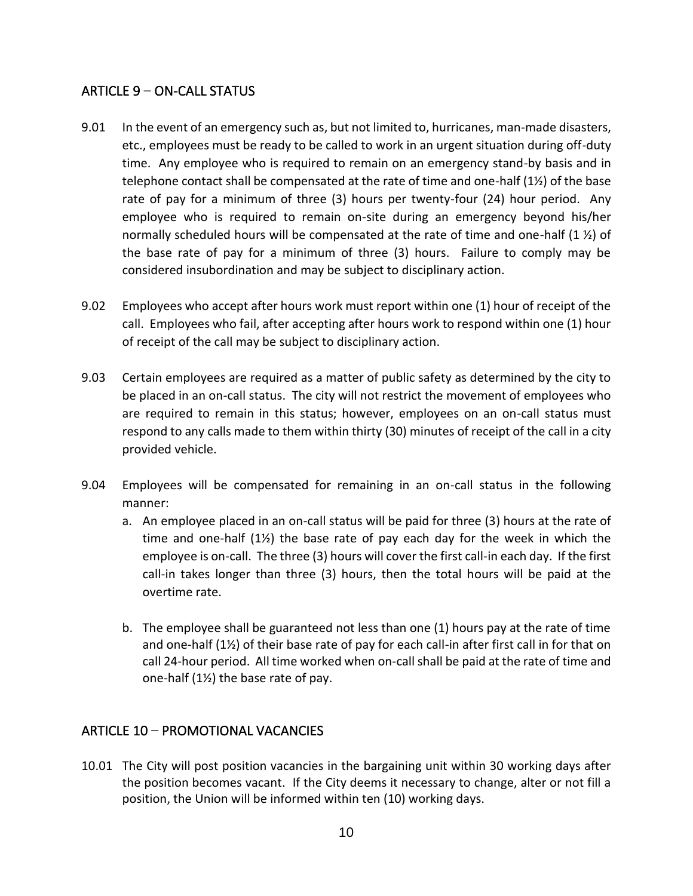## <span id="page-11-0"></span>ARTICLE 9 – ON-CALL STATUS

- 9.01 In the event of an emergency such as, but not limited to, hurricanes, man-made disasters, etc., employees must be ready to be called to work in an urgent situation during off-duty time. Any employee who is required to remain on an emergency stand-by basis and in telephone contact shall be compensated at the rate of time and one-half (1½) of the base rate of pay for a minimum of three (3) hours per twenty-four (24) hour period. Any employee who is required to remain on-site during an emergency beyond his/her normally scheduled hours will be compensated at the rate of time and one-half  $(1 \frac{1}{2})$  of the base rate of pay for a minimum of three (3) hours. Failure to comply may be considered insubordination and may be subject to disciplinary action.
- 9.02 Employees who accept after hours work must report within one (1) hour of receipt of the call. Employees who fail, after accepting after hours work to respond within one (1) hour of receipt of the call may be subject to disciplinary action.
- 9.03 Certain employees are required as a matter of public safety as determined by the city to be placed in an on-call status. The city will not restrict the movement of employees who are required to remain in this status; however, employees on an on-call status must respond to any calls made to them within thirty (30) minutes of receipt of the call in a city provided vehicle.
- 9.04 Employees will be compensated for remaining in an on-call status in the following manner:
	- a. An employee placed in an on-call status will be paid for three (3) hours at the rate of time and one-half (1½) the base rate of pay each day for the week in which the employee is on-call. The three (3) hours will cover the first call-in each day. If the first call-in takes longer than three (3) hours, then the total hours will be paid at the overtime rate.
	- b. The employee shall be guaranteed not less than one (1) hours pay at the rate of time and one-half (1½) of their base rate of pay for each call-in after first call in for that on call 24-hour period. All time worked when on-call shall be paid at the rate of time and one-half (1½) the base rate of pay.

## <span id="page-11-1"></span>ARTICLE 10 – PROMOTIONAL VACANCIES

10.01 The City will post position vacancies in the bargaining unit within 30 working days after the position becomes vacant. If the City deems it necessary to change, alter or not fill a position, the Union will be informed within ten (10) working days.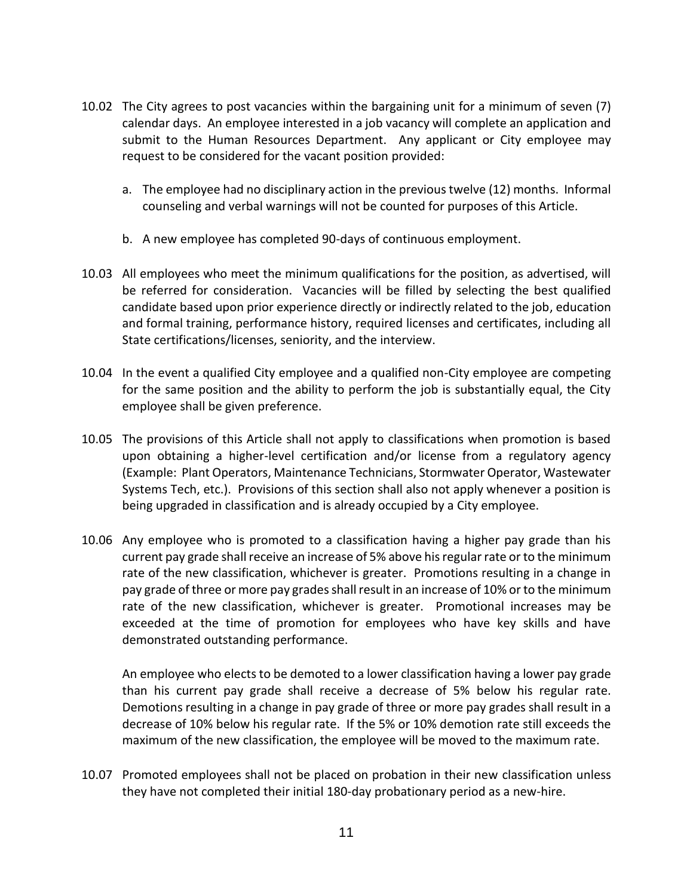- 10.02 The City agrees to post vacancies within the bargaining unit for a minimum of seven (7) calendar days. An employee interested in a job vacancy will complete an application and submit to the Human Resources Department. Any applicant or City employee may request to be considered for the vacant position provided:
	- a. The employee had no disciplinary action in the previous twelve (12) months. Informal counseling and verbal warnings will not be counted for purposes of this Article.
	- b. A new employee has completed 90-days of continuous employment.
- 10.03 All employees who meet the minimum qualifications for the position, as advertised, will be referred for consideration. Vacancies will be filled by selecting the best qualified candidate based upon prior experience directly or indirectly related to the job, education and formal training, performance history, required licenses and certificates, including all State certifications/licenses, seniority, and the interview.
- 10.04 In the event a qualified City employee and a qualified non-City employee are competing for the same position and the ability to perform the job is substantially equal, the City employee shall be given preference.
- 10.05 The provisions of this Article shall not apply to classifications when promotion is based upon obtaining a higher-level certification and/or license from a regulatory agency (Example: Plant Operators, Maintenance Technicians, Stormwater Operator, Wastewater Systems Tech, etc.). Provisions of this section shall also not apply whenever a position is being upgraded in classification and is already occupied by a City employee.
- 10.06 Any employee who is promoted to a classification having a higher pay grade than his current pay grade shall receive an increase of 5% above his regular rate or to the minimum rate of the new classification, whichever is greater. Promotions resulting in a change in pay grade of three or more pay grades shall result in an increase of 10% or to the minimum rate of the new classification, whichever is greater. Promotional increases may be exceeded at the time of promotion for employees who have key skills and have demonstrated outstanding performance.

An employee who elects to be demoted to a lower classification having a lower pay grade than his current pay grade shall receive a decrease of 5% below his regular rate. Demotions resulting in a change in pay grade of three or more pay grades shall result in a decrease of 10% below his regular rate. If the 5% or 10% demotion rate still exceeds the maximum of the new classification, the employee will be moved to the maximum rate.

10.07 Promoted employees shall not be placed on probation in their new classification unless they have not completed their initial 180-day probationary period as a new-hire.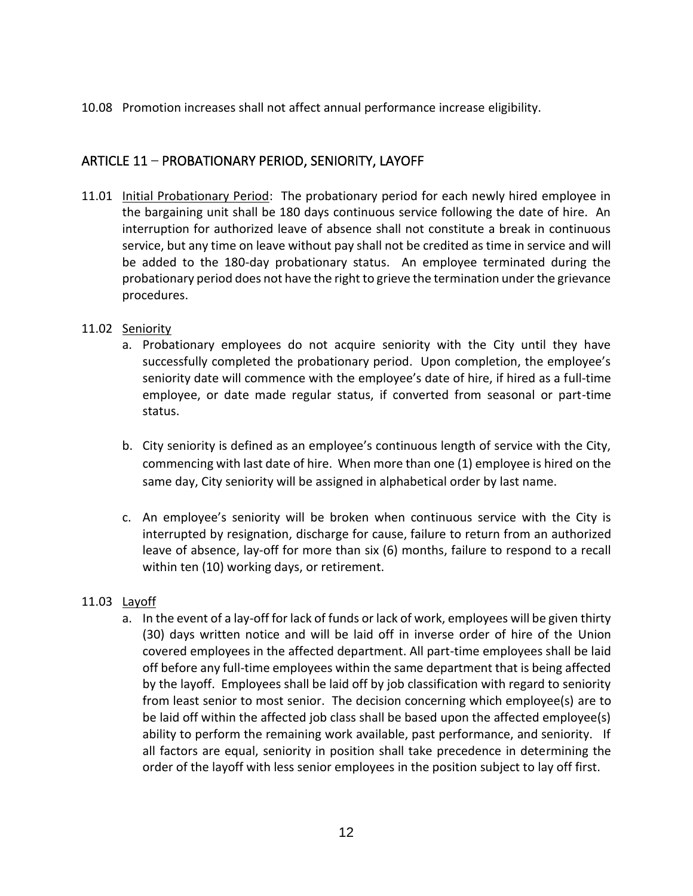#### 10.08 Promotion increases shall not affect annual performance increase eligibility.

## <span id="page-13-0"></span>ARTICLE 11 – PROBATIONARY PERIOD, SENIORITY, LAYOFF

11.01 Initial Probationary Period: The probationary period for each newly hired employee in the bargaining unit shall be 180 days continuous service following the date of hire. An interruption for authorized leave of absence shall not constitute a break in continuous service, but any time on leave without pay shall not be credited as time in service and will be added to the 180-day probationary status. An employee terminated during the probationary period does not have the right to grieve the termination under the grievance procedures.

#### 11.02 Seniority

- a. Probationary employees do not acquire seniority with the City until they have successfully completed the probationary period. Upon completion, the employee's seniority date will commence with the employee's date of hire, if hired as a full-time employee, or date made regular status, if converted from seasonal or part-time status.
- b. City seniority is defined as an employee's continuous length of service with the City, commencing with last date of hire. When more than one (1) employee is hired on the same day, City seniority will be assigned in alphabetical order by last name.
- c. An employee's seniority will be broken when continuous service with the City is interrupted by resignation, discharge for cause, failure to return from an authorized leave of absence, lay-off for more than six (6) months, failure to respond to a recall within ten (10) working days, or retirement.

#### 11.03 Layoff

a. In the event of a lay-off for lack of funds or lack of work, employees will be given thirty (30) days written notice and will be laid off in inverse order of hire of the Union covered employees in the affected department. All part-time employees shall be laid off before any full-time employees within the same department that is being affected by the layoff. Employees shall be laid off by job classification with regard to seniority from least senior to most senior. The decision concerning which employee(s) are to be laid off within the affected job class shall be based upon the affected employee(s) ability to perform the remaining work available, past performance, and seniority. If all factors are equal, seniority in position shall take precedence in determining the order of the layoff with less senior employees in the position subject to lay off first.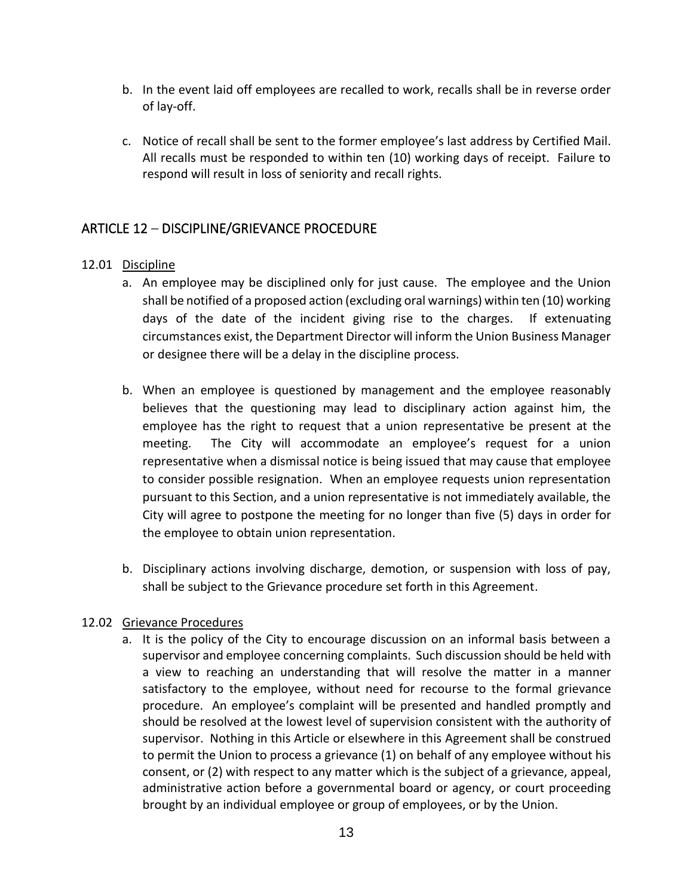- b. In the event laid off employees are recalled to work, recalls shall be in reverse order of lay-off.
- c. Notice of recall shall be sent to the former employee's last address by Certified Mail. All recalls must be responded to within ten (10) working days of receipt. Failure to respond will result in loss of seniority and recall rights.

## <span id="page-14-0"></span>ARTICLE 12 – DISCIPLINE/GRIEVANCE PROCEDURE

#### 12.01 Discipline

- a. An employee may be disciplined only for just cause. The employee and the Union shall be notified of a proposed action (excluding oral warnings) within ten (10) working days of the date of the incident giving rise to the charges. If extenuating circumstances exist, the Department Director will inform the Union Business Manager or designee there will be a delay in the discipline process.
- b. When an employee is questioned by management and the employee reasonably believes that the questioning may lead to disciplinary action against him, the employee has the right to request that a union representative be present at the meeting. The City will accommodate an employee's request for a union representative when a dismissal notice is being issued that may cause that employee to consider possible resignation. When an employee requests union representation pursuant to this Section, and a union representative is not immediately available, the City will agree to postpone the meeting for no longer than five (5) days in order for the employee to obtain union representation.
- b. Disciplinary actions involving discharge, demotion, or suspension with loss of pay, shall be subject to the Grievance procedure set forth in this Agreement.

#### 12.02 Grievance Procedures

a. It is the policy of the City to encourage discussion on an informal basis between a supervisor and employee concerning complaints. Such discussion should be held with a view to reaching an understanding that will resolve the matter in a manner satisfactory to the employee, without need for recourse to the formal grievance procedure. An employee's complaint will be presented and handled promptly and should be resolved at the lowest level of supervision consistent with the authority of supervisor. Nothing in this Article or elsewhere in this Agreement shall be construed to permit the Union to process a grievance (1) on behalf of any employee without his consent, or (2) with respect to any matter which is the subject of a grievance, appeal, administrative action before a governmental board or agency, or court proceeding brought by an individual employee or group of employees, or by the Union.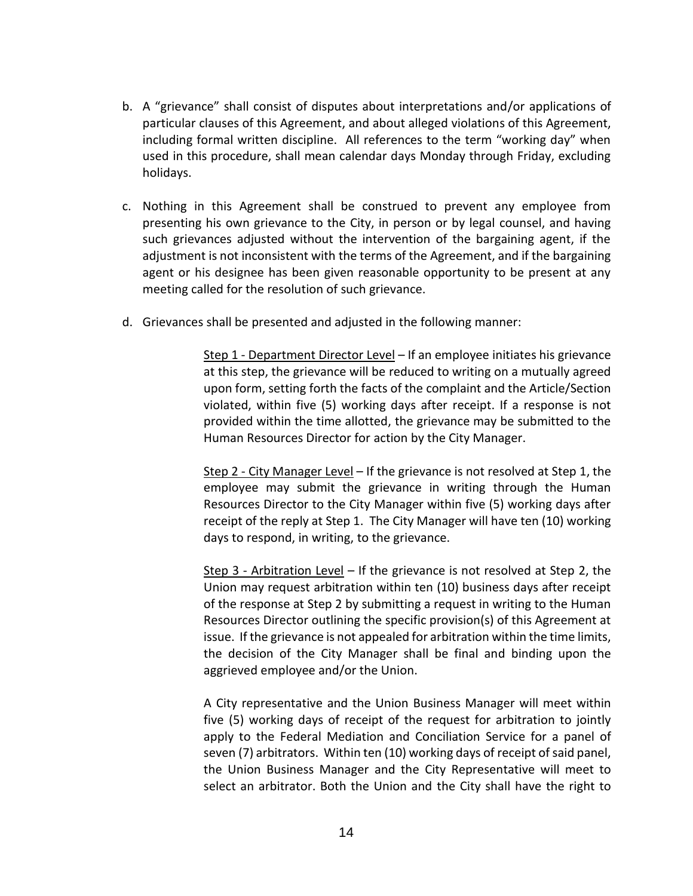- b. A "grievance" shall consist of disputes about interpretations and/or applications of particular clauses of this Agreement, and about alleged violations of this Agreement, including formal written discipline. All references to the term "working day" when used in this procedure, shall mean calendar days Monday through Friday, excluding holidays.
- c. Nothing in this Agreement shall be construed to prevent any employee from presenting his own grievance to the City, in person or by legal counsel, and having such grievances adjusted without the intervention of the bargaining agent, if the adjustment is not inconsistent with the terms of the Agreement, and if the bargaining agent or his designee has been given reasonable opportunity to be present at any meeting called for the resolution of such grievance.
- d. Grievances shall be presented and adjusted in the following manner:

Step 1 - Department Director Level – If an employee initiates his grievance at this step, the grievance will be reduced to writing on a mutually agreed upon form, setting forth the facts of the complaint and the Article/Section violated, within five (5) working days after receipt. If a response is not provided within the time allotted, the grievance may be submitted to the Human Resources Director for action by the City Manager.

Step 2 - City Manager Level - If the grievance is not resolved at Step 1, the employee may submit the grievance in writing through the Human Resources Director to the City Manager within five (5) working days after receipt of the reply at Step 1. The City Manager will have ten (10) working days to respond, in writing, to the grievance.

Step 3 - Arbitration Level – If the grievance is not resolved at Step 2, the Union may request arbitration within ten (10) business days after receipt of the response at Step 2 by submitting a request in writing to the Human Resources Director outlining the specific provision(s) of this Agreement at issue. If the grievance is not appealed for arbitration within the time limits, the decision of the City Manager shall be final and binding upon the aggrieved employee and/or the Union.

A City representative and the Union Business Manager will meet within five (5) working days of receipt of the request for arbitration to jointly apply to the Federal Mediation and Conciliation Service for a panel of seven (7) arbitrators. Within ten (10) working days of receipt of said panel, the Union Business Manager and the City Representative will meet to select an arbitrator. Both the Union and the City shall have the right to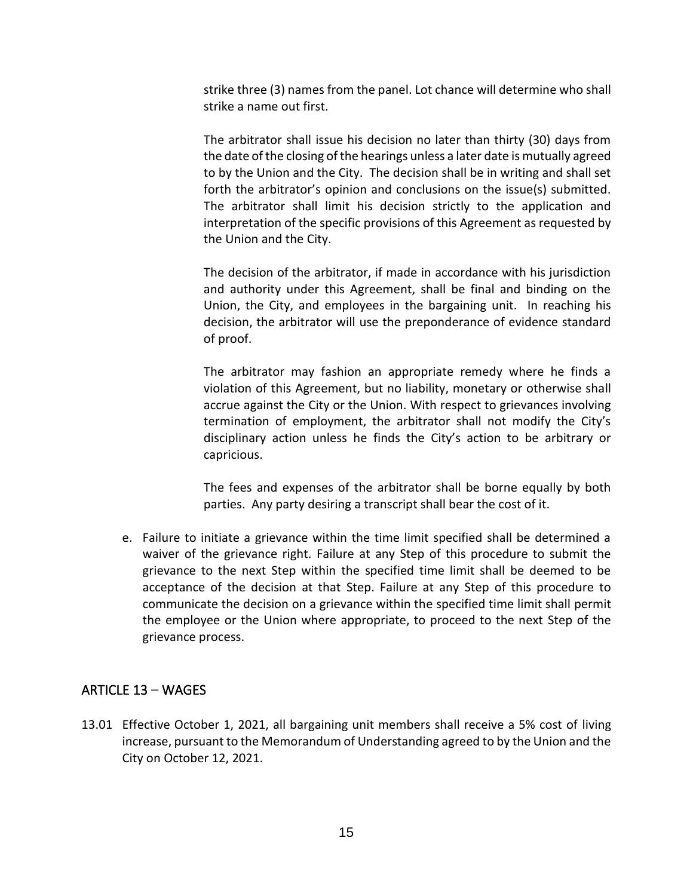strike three (3) names from the panel. Lot chance will determine who shall strike a name out first.

The arbitrator shall issue his decision no later than thirty (30) days from the date of the closing of the hearings unless a later date is mutually agreed to by the Union and the City. The decision shall be in writing and shall set forth the arbitrator's opinion and conclusions on the issue(s) submitted. The arbitrator shall limit his decision strictly to the application and interpretation of the specific provisions of this Agreement as requested by the Union and the City.

The decision of the arbitrator, if made in accordance with his jurisdiction and authority under this Agreement, shall be final and binding on the Union, the City, and employees in the bargaining unit. In reaching his decision, the arbitrator will use the preponderance of evidence standard of proof.

The arbitrator may fashion an appropriate remedy where he finds a violation of this Agreement, but no liability, monetary or otherwise shall accrue against the City or the Union. With respect to grievances involving termination of employment, the arbitrator shall not modify the City's disciplinary action unless he finds the City's action to be arbitrary or capricious.

The fees and expenses of the arbitrator shall be borne equally by both parties. Any party desiring a transcript shall bear the cost of it.

e. Failure to initiate a grievance within the time limit specified shall be determined a waiver of the grievance right. Failure at any Step of this procedure to submit the grievance to the next Step within the specified time limit shall be deemed to be acceptance of the decision at that Step. Failure at any Step of this procedure to communicate the decision on a grievance within the specified time limit shall permit the employee or the Union where appropriate, to proceed to the next Step of the grievance process.

## <span id="page-16-0"></span>ARTICLE 13 – WAGES

13.01 Effective October 1, 2021, all bargaining unit members shall receive a 5% cost of living increase, pursuant to the Memorandum of Understanding agreed to by the Union and the City on October 12, 2021.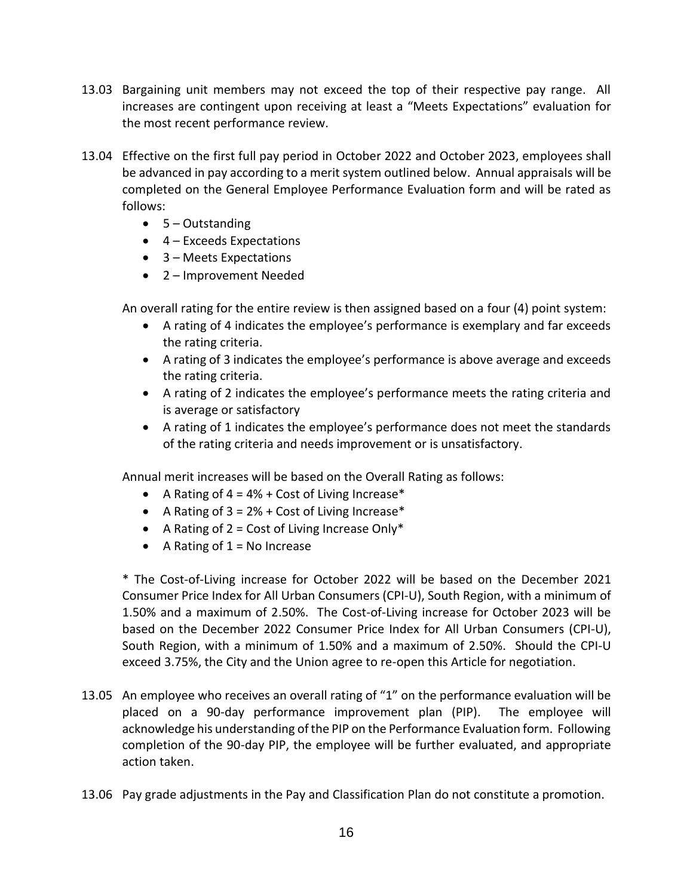- 13.03 Bargaining unit members may not exceed the top of their respective pay range. All increases are contingent upon receiving at least a "Meets Expectations" evaluation for the most recent performance review.
- 13.04 Effective on the first full pay period in October 2022 and October 2023, employees shall be advanced in pay according to a merit system outlined below. Annual appraisals will be completed on the General Employee Performance Evaluation form and will be rated as follows:
	- $\bullet$  5 Outstanding
	- 4 Exceeds Expectations
	- 3 Meets Expectations
	- 2 Improvement Needed

An overall rating for the entire review is then assigned based on a four (4) point system:

- A rating of 4 indicates the employee's performance is exemplary and far exceeds the rating criteria.
- A rating of 3 indicates the employee's performance is above average and exceeds the rating criteria.
- A rating of 2 indicates the employee's performance meets the rating criteria and is average or satisfactory
- A rating of 1 indicates the employee's performance does not meet the standards of the rating criteria and needs improvement or is unsatisfactory.

Annual merit increases will be based on the Overall Rating as follows:

- A Rating of  $4 = 4% + Cost$  of Living Increase\*
- A Rating of  $3 = 2% + Cost$  of Living Increase\*
- A Rating of  $2 = Cost$  of Living Increase Only\*
- A Rating of  $1 = No$  Increase

\* The Cost-of-Living increase for October 2022 will be based on the December 2021 Consumer Price Index for All Urban Consumers (CPI-U), South Region, with a minimum of 1.50% and a maximum of 2.50%. The Cost-of-Living increase for October 2023 will be based on the December 2022 Consumer Price Index for All Urban Consumers (CPI-U), South Region, with a minimum of 1.50% and a maximum of 2.50%. Should the CPI-U exceed 3.75%, the City and the Union agree to re-open this Article for negotiation.

- 13.05 An employee who receives an overall rating of "1" on the performance evaluation will be placed on a 90-day performance improvement plan (PIP). The employee will acknowledge his understanding of the PIP on the Performance Evaluation form. Following completion of the 90-day PIP, the employee will be further evaluated, and appropriate action taken.
- 13.06 Pay grade adjustments in the Pay and Classification Plan do not constitute a promotion.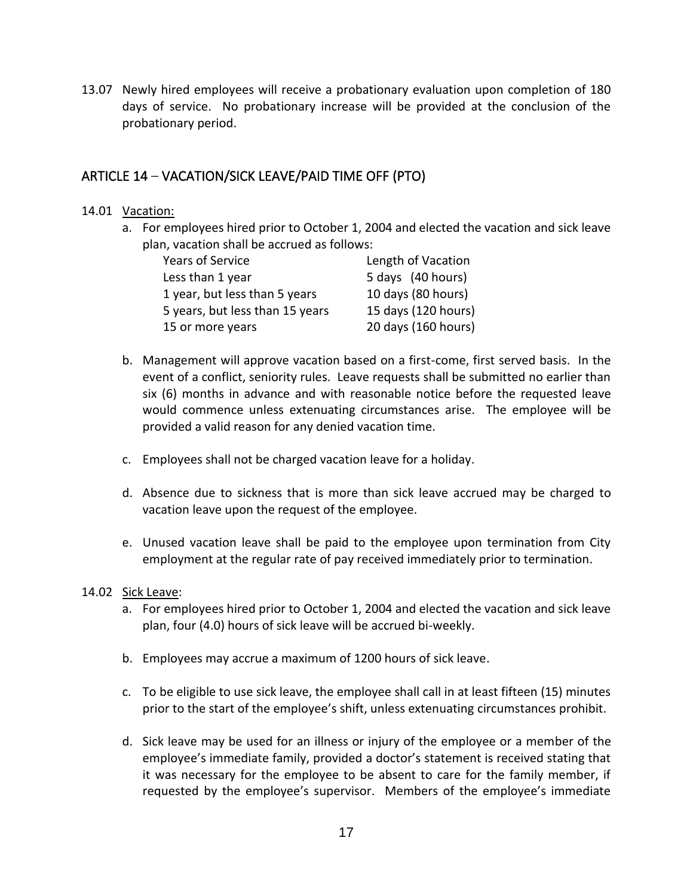13.07 Newly hired employees will receive a probationary evaluation upon completion of 180 days of service. No probationary increase will be provided at the conclusion of the probationary period.

## <span id="page-18-0"></span>ARTICLE 14 – VACATION/SICK LEAVE/PAID TIME OFF (PTO)

#### 14.01 Vacation:

a. For employees hired prior to October 1, 2004 and elected the vacation and sick leave plan, vacation shall be accrued as follows:

| Years of Service                | Length of Vacation  |
|---------------------------------|---------------------|
| Less than 1 year                | 5 days (40 hours)   |
| 1 year, but less than 5 years   | 10 days (80 hours)  |
| 5 years, but less than 15 years | 15 days (120 hours) |
| 15 or more years                | 20 days (160 hours) |

- b. Management will approve vacation based on a first-come, first served basis. In the event of a conflict, seniority rules. Leave requests shall be submitted no earlier than six (6) months in advance and with reasonable notice before the requested leave would commence unless extenuating circumstances arise. The employee will be provided a valid reason for any denied vacation time.
- c. Employees shall not be charged vacation leave for a holiday.
- d. Absence due to sickness that is more than sick leave accrued may be charged to vacation leave upon the request of the employee.
- e. Unused vacation leave shall be paid to the employee upon termination from City employment at the regular rate of pay received immediately prior to termination.

#### 14.02 Sick Leave:

- a. For employees hired prior to October 1, 2004 and elected the vacation and sick leave plan, four (4.0) hours of sick leave will be accrued bi-weekly.
- b. Employees may accrue a maximum of 1200 hours of sick leave.
- c. To be eligible to use sick leave, the employee shall call in at least fifteen (15) minutes prior to the start of the employee's shift, unless extenuating circumstances prohibit.
- d. Sick leave may be used for an illness or injury of the employee or a member of the employee's immediate family, provided a doctor's statement is received stating that it was necessary for the employee to be absent to care for the family member, if requested by the employee's supervisor. Members of the employee's immediate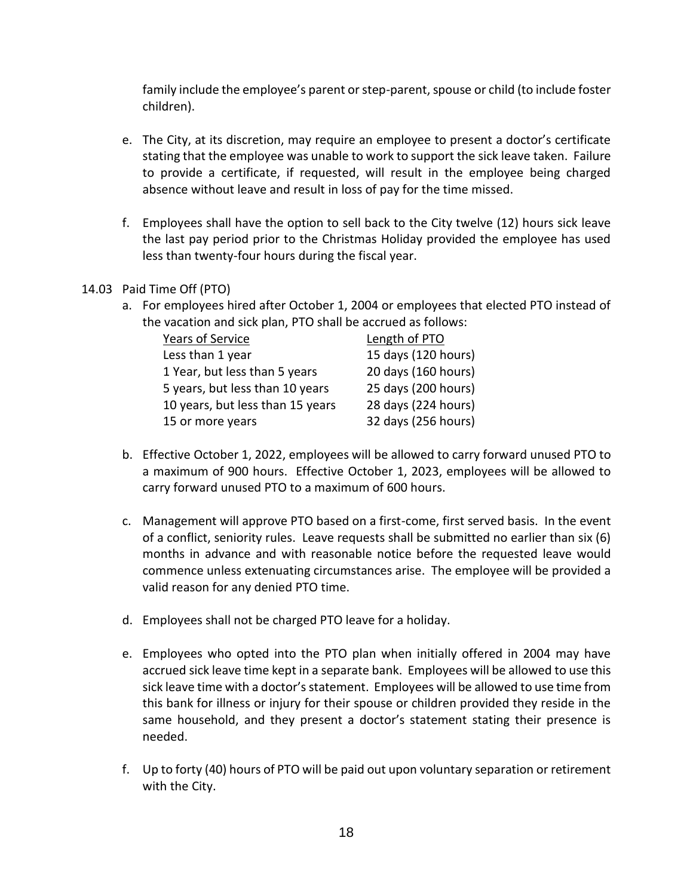family include the employee's parent or step-parent, spouse or child (to include foster children).

- e. The City, at its discretion, may require an employee to present a doctor's certificate stating that the employee was unable to work to support the sick leave taken. Failure to provide a certificate, if requested, will result in the employee being charged absence without leave and result in loss of pay for the time missed.
- f. Employees shall have the option to sell back to the City twelve (12) hours sick leave the last pay period prior to the Christmas Holiday provided the employee has used less than twenty-four hours during the fiscal year.

#### 14.03 Paid Time Off (PTO)

a. For employees hired after October 1, 2004 or employees that elected PTO instead of the vacation and sick plan, PTO shall be accrued as follows:

| Years of Service                 | Length of PTO       |
|----------------------------------|---------------------|
| Less than 1 year                 | 15 days (120 hours) |
| 1 Year, but less than 5 years    | 20 days (160 hours) |
| 5 years, but less than 10 years  | 25 days (200 hours) |
| 10 years, but less than 15 years | 28 days (224 hours) |
| 15 or more years                 | 32 days (256 hours) |

- b. Effective October 1, 2022, employees will be allowed to carry forward unused PTO to a maximum of 900 hours. Effective October 1, 2023, employees will be allowed to carry forward unused PTO to a maximum of 600 hours.
- c. Management will approve PTO based on a first-come, first served basis. In the event of a conflict, seniority rules. Leave requests shall be submitted no earlier than six (6) months in advance and with reasonable notice before the requested leave would commence unless extenuating circumstances arise. The employee will be provided a valid reason for any denied PTO time.
- d. Employees shall not be charged PTO leave for a holiday.
- e. Employees who opted into the PTO plan when initially offered in 2004 may have accrued sick leave time kept in a separate bank. Employees will be allowed to use this sick leave time with a doctor's statement. Employees will be allowed to use time from this bank for illness or injury for their spouse or children provided they reside in the same household, and they present a doctor's statement stating their presence is needed.
- f. Up to forty (40) hours of PTO will be paid out upon voluntary separation or retirement with the City.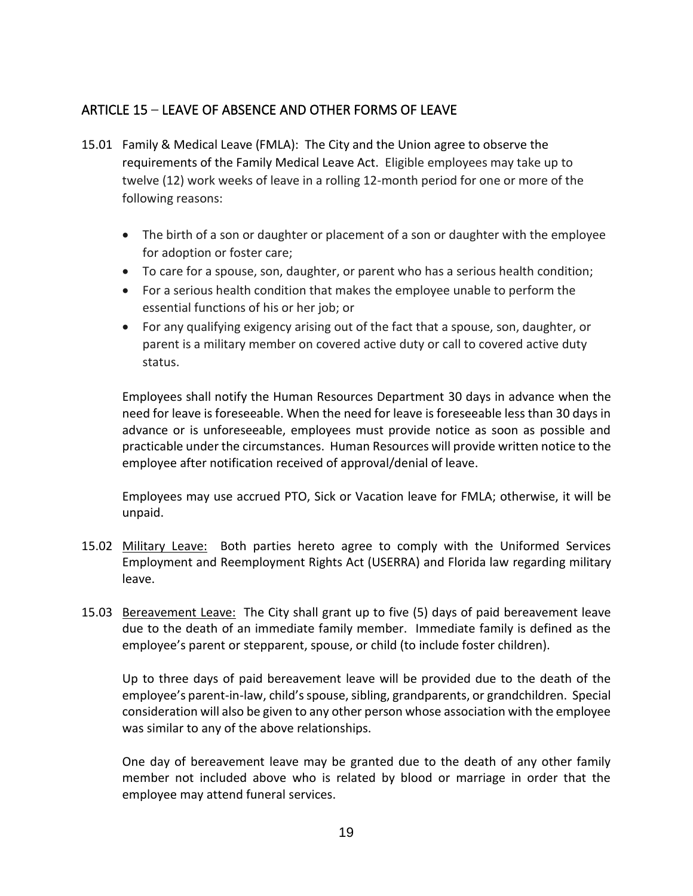## <span id="page-20-0"></span>ARTICLE 15 – LEAVE OF ABSENCE AND OTHER FORMS OF LEAVE

- 15.01 Family & Medical Leave (FMLA): The City and the Union agree to observe the requirements of the Family Medical Leave Act. Eligible employees may take up to twelve (12) work weeks of leave in a rolling 12-month period for one or more of the following reasons:
	- The birth of a son or daughter or placement of a son or daughter with the employee for adoption or foster care;
	- To care for a spouse, son, daughter, or parent who has a serious health condition;
	- For a serious health condition that makes the employee unable to perform the essential functions of his or her job; or
	- For any qualifying exigency arising out of the fact that a spouse, son, daughter, or parent is a military member on covered active duty or call to covered active duty status.

Employees shall notify the Human Resources Department 30 days in advance when the need for leave is foreseeable. When the need for leave is foreseeable less than 30 days in advance or is unforeseeable, employees must provide notice as soon as possible and practicable under the circumstances. Human Resources will provide written notice to the employee after notification received of approval/denial of leave.

Employees may use accrued PTO, Sick or Vacation leave for FMLA; otherwise, it will be unpaid.

- 15.02 Military Leave: Both parties hereto agree to comply with the Uniformed Services Employment and Reemployment Rights Act (USERRA) and Florida law regarding military leave.
- 15.03 Bereavement Leave: The City shall grant up to five (5) days of paid bereavement leave due to the death of an immediate family member. Immediate family is defined as the employee's parent or stepparent, spouse, or child (to include foster children).

Up to three days of paid bereavement leave will be provided due to the death of the employee's parent-in-law, child's spouse, sibling, grandparents, or grandchildren. Special consideration will also be given to any other person whose association with the employee was similar to any of the above relationships.

One day of bereavement leave may be granted due to the death of any other family member not included above who is related by blood or marriage in order that the employee may attend funeral services.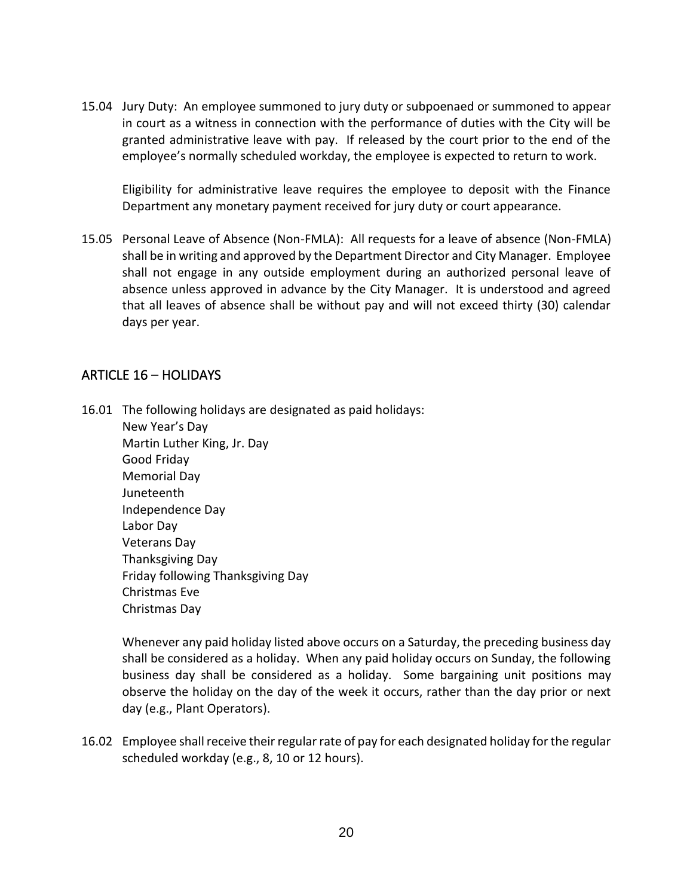15.04 Jury Duty: An employee summoned to jury duty or subpoenaed or summoned to appear in court as a witness in connection with the performance of duties with the City will be granted administrative leave with pay. If released by the court prior to the end of the employee's normally scheduled workday, the employee is expected to return to work.

Eligibility for administrative leave requires the employee to deposit with the Finance Department any monetary payment received for jury duty or court appearance.

15.05 Personal Leave of Absence (Non-FMLA): All requests for a leave of absence (Non-FMLA) shall be in writing and approved by the Department Director and City Manager. Employee shall not engage in any outside employment during an authorized personal leave of absence unless approved in advance by the City Manager. It is understood and agreed that all leaves of absence shall be without pay and will not exceed thirty (30) calendar days per year.

## <span id="page-21-0"></span>ARTICLE 16 – HOLIDAYS

16.01 The following holidays are designated as paid holidays: New Year's Day Martin Luther King, Jr. Day Good Friday

Memorial Day Juneteenth Independence Day Labor Day Veterans Day Thanksgiving Day Friday following Thanksgiving Day Christmas Eve Christmas Day

Whenever any paid holiday listed above occurs on a Saturday, the preceding business day shall be considered as a holiday. When any paid holiday occurs on Sunday, the following business day shall be considered as a holiday. Some bargaining unit positions may observe the holiday on the day of the week it occurs, rather than the day prior or next day (e.g., Plant Operators).

16.02 Employee shall receive their regular rate of pay for each designated holiday for the regular scheduled workday (e.g., 8, 10 or 12 hours).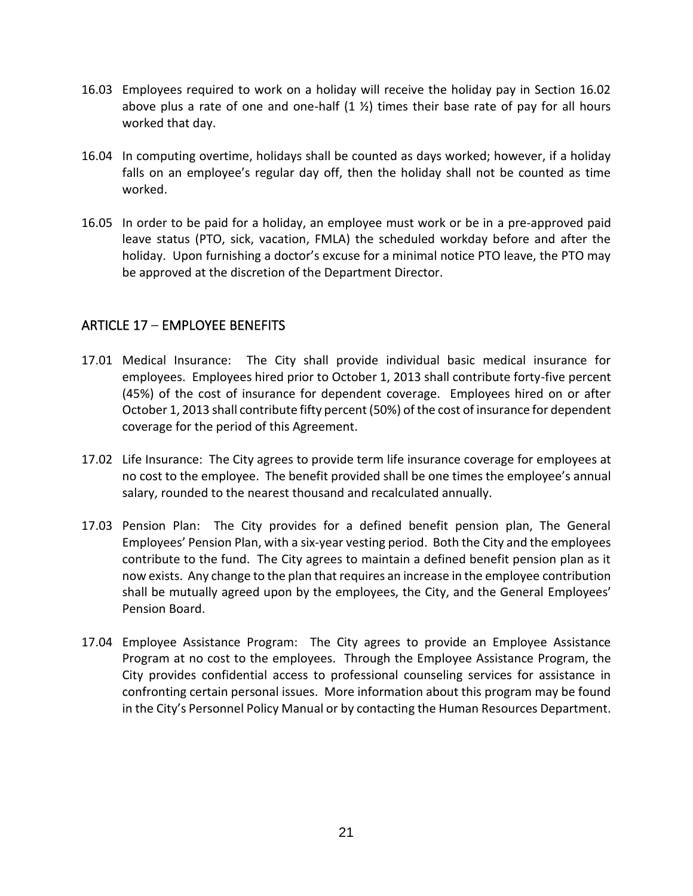- 16.03 Employees required to work on a holiday will receive the holiday pay in Section 16.02 above plus a rate of one and one-half  $(1 \frac{1}{2})$  times their base rate of pay for all hours worked that day.
- 16.04 In computing overtime, holidays shall be counted as days worked; however, if a holiday falls on an employee's regular day off, then the holiday shall not be counted as time worked.
- 16.05 In order to be paid for a holiday, an employee must work or be in a pre-approved paid leave status (PTO, sick, vacation, FMLA) the scheduled workday before and after the holiday. Upon furnishing a doctor's excuse for a minimal notice PTO leave, the PTO may be approved at the discretion of the Department Director.

## <span id="page-22-0"></span>ARTICLE 17 – EMPLOYEE BENEFITS

- 17.01 Medical Insurance: The City shall provide individual basic medical insurance for employees. Employees hired prior to October 1, 2013 shall contribute forty-five percent (45%) of the cost of insurance for dependent coverage. Employees hired on or after October 1, 2013 shall contribute fifty percent (50%) of the cost of insurance for dependent coverage for the period of this Agreement.
- 17.02 Life Insurance: The City agrees to provide term life insurance coverage for employees at no cost to the employee. The benefit provided shall be one times the employee's annual salary, rounded to the nearest thousand and recalculated annually.
- 17.03 Pension Plan: The City provides for a defined benefit pension plan, The General Employees' Pension Plan, with a six-year vesting period. Both the City and the employees contribute to the fund. The City agrees to maintain a defined benefit pension plan as it now exists. Any change to the plan that requires an increase in the employee contribution shall be mutually agreed upon by the employees, the City, and the General Employees' Pension Board.
- 17.04 Employee Assistance Program: The City agrees to provide an Employee Assistance Program at no cost to the employees. Through the Employee Assistance Program, the City provides confidential access to professional counseling services for assistance in confronting certain personal issues. More information about this program may be found in the City's Personnel Policy Manual or by contacting the Human Resources Department.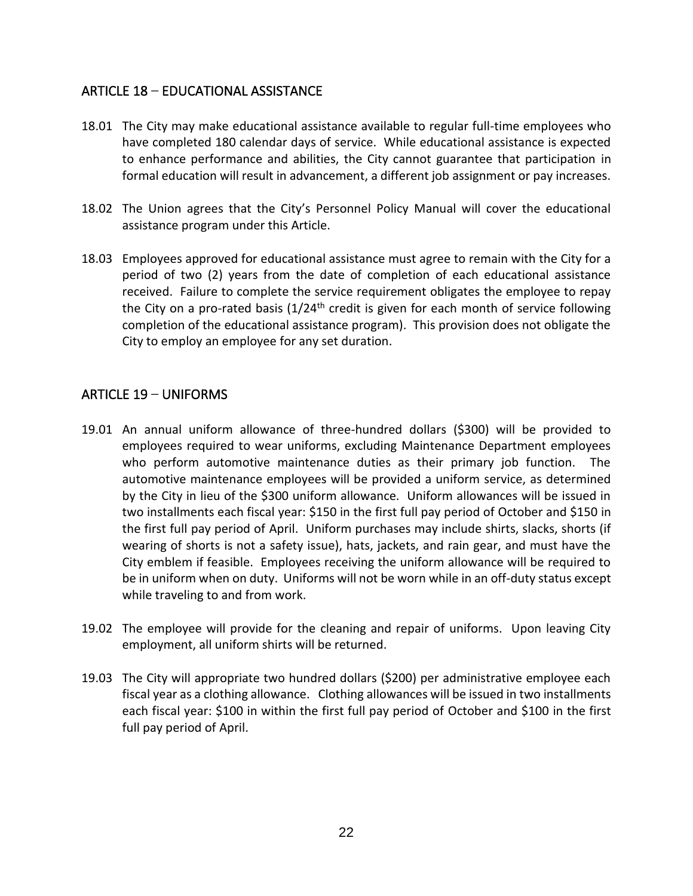## <span id="page-23-0"></span>ARTICLE 18 – EDUCATIONAL ASSISTANCE

- 18.01 The City may make educational assistance available to regular full-time employees who have completed 180 calendar days of service. While educational assistance is expected to enhance performance and abilities, the City cannot guarantee that participation in formal education will result in advancement, a different job assignment or pay increases.
- 18.02 The Union agrees that the City's Personnel Policy Manual will cover the educational assistance program under this Article.
- 18.03 Employees approved for educational assistance must agree to remain with the City for a period of two (2) years from the date of completion of each educational assistance received. Failure to complete the service requirement obligates the employee to repay the City on a pro-rated basis  $(1/24<sup>th</sup>$  credit is given for each month of service following completion of the educational assistance program). This provision does not obligate the City to employ an employee for any set duration.

## <span id="page-23-1"></span>ARTICLE 19 – UNIFORMS

- 19.01 An annual uniform allowance of three-hundred dollars (\$300) will be provided to employees required to wear uniforms, excluding Maintenance Department employees who perform automotive maintenance duties as their primary job function. The automotive maintenance employees will be provided a uniform service, as determined by the City in lieu of the \$300 uniform allowance. Uniform allowances will be issued in two installments each fiscal year: \$150 in the first full pay period of October and \$150 in the first full pay period of April. Uniform purchases may include shirts, slacks, shorts (if wearing of shorts is not a safety issue), hats, jackets, and rain gear, and must have the City emblem if feasible. Employees receiving the uniform allowance will be required to be in uniform when on duty. Uniforms will not be worn while in an off-duty status except while traveling to and from work.
- 19.02 The employee will provide for the cleaning and repair of uniforms. Upon leaving City employment, all uniform shirts will be returned.
- 19.03 The City will appropriate two hundred dollars (\$200) per administrative employee each fiscal year as a clothing allowance. Clothing allowances will be issued in two installments each fiscal year: \$100 in within the first full pay period of October and \$100 in the first full pay period of April.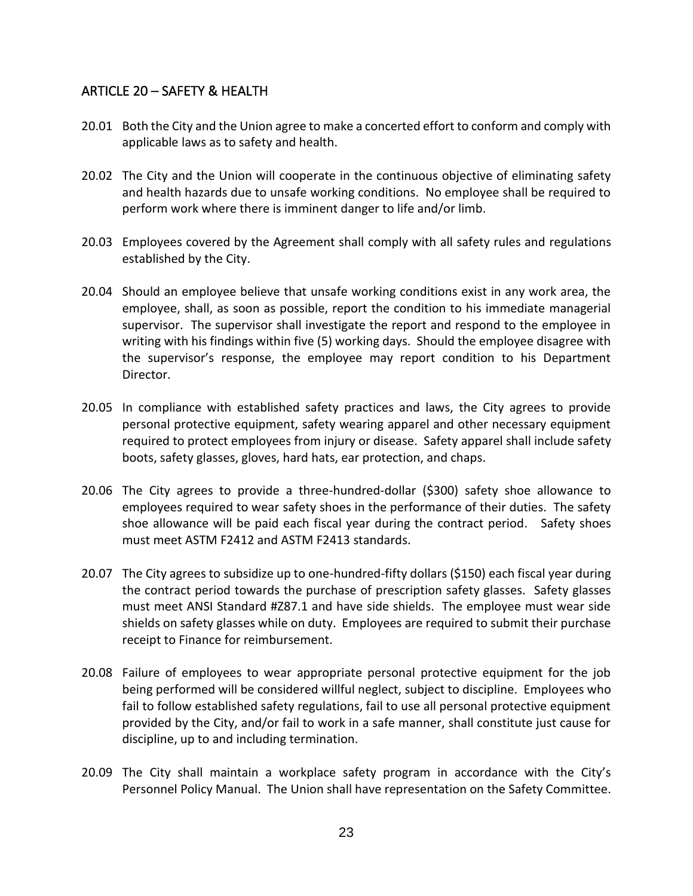## <span id="page-24-0"></span>ARTICLE 20 – SAFETY & HEALTH

- 20.01 Both the City and the Union agree to make a concerted effort to conform and comply with applicable laws as to safety and health.
- 20.02 The City and the Union will cooperate in the continuous objective of eliminating safety and health hazards due to unsafe working conditions. No employee shall be required to perform work where there is imminent danger to life and/or limb.
- 20.03 Employees covered by the Agreement shall comply with all safety rules and regulations established by the City.
- 20.04 Should an employee believe that unsafe working conditions exist in any work area, the employee, shall, as soon as possible, report the condition to his immediate managerial supervisor. The supervisor shall investigate the report and respond to the employee in writing with his findings within five (5) working days. Should the employee disagree with the supervisor's response, the employee may report condition to his Department Director.
- 20.05 In compliance with established safety practices and laws, the City agrees to provide personal protective equipment, safety wearing apparel and other necessary equipment required to protect employees from injury or disease. Safety apparel shall include safety boots, safety glasses, gloves, hard hats, ear protection, and chaps.
- 20.06 The City agrees to provide a three-hundred-dollar (\$300) safety shoe allowance to employees required to wear safety shoes in the performance of their duties. The safety shoe allowance will be paid each fiscal year during the contract period. Safety shoes must meet ASTM F2412 and ASTM F2413 standards.
- 20.07 The City agrees to subsidize up to one-hundred-fifty dollars (\$150) each fiscal year during the contract period towards the purchase of prescription safety glasses. Safety glasses must meet ANSI Standard #Z87.1 and have side shields. The employee must wear side shields on safety glasses while on duty. Employees are required to submit their purchase receipt to Finance for reimbursement.
- 20.08 Failure of employees to wear appropriate personal protective equipment for the job being performed will be considered willful neglect, subject to discipline. Employees who fail to follow established safety regulations, fail to use all personal protective equipment provided by the City, and/or fail to work in a safe manner, shall constitute just cause for discipline, up to and including termination.
- 20.09 The City shall maintain a workplace safety program in accordance with the City's Personnel Policy Manual. The Union shall have representation on the Safety Committee.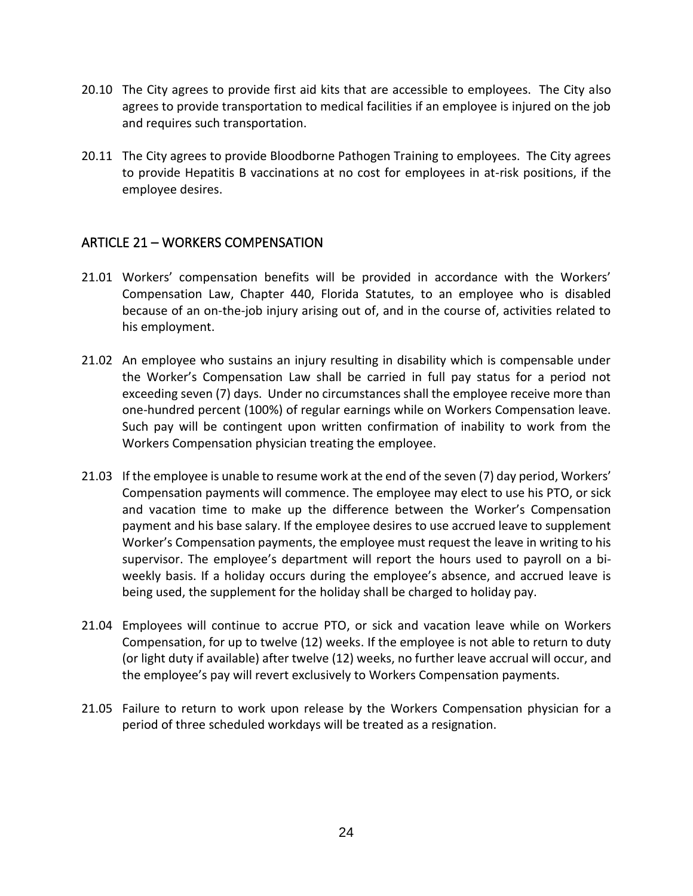- 20.10 The City agrees to provide first aid kits that are accessible to employees. The City also agrees to provide transportation to medical facilities if an employee is injured on the job and requires such transportation.
- 20.11 The City agrees to provide Bloodborne Pathogen Training to employees. The City agrees to provide Hepatitis B vaccinations at no cost for employees in at-risk positions, if the employee desires.

## <span id="page-25-0"></span>ARTICLE 21 – WORKERS COMPENSATION

- 21.01 Workers' compensation benefits will be provided in accordance with the Workers' Compensation Law, Chapter 440, Florida Statutes, to an employee who is disabled because of an on-the-job injury arising out of, and in the course of, activities related to his employment.
- 21.02 An employee who sustains an injury resulting in disability which is compensable under the Worker's Compensation Law shall be carried in full pay status for a period not exceeding seven (7) days. Under no circumstances shall the employee receive more than one-hundred percent (100%) of regular earnings while on Workers Compensation leave. Such pay will be contingent upon written confirmation of inability to work from the Workers Compensation physician treating the employee.
- 21.03 If the employee is unable to resume work at the end of the seven (7) day period, Workers' Compensation payments will commence. The employee may elect to use his PTO, or sick and vacation time to make up the difference between the Worker's Compensation payment and his base salary. If the employee desires to use accrued leave to supplement Worker's Compensation payments, the employee must request the leave in writing to his supervisor. The employee's department will report the hours used to payroll on a biweekly basis. If a holiday occurs during the employee's absence, and accrued leave is being used, the supplement for the holiday shall be charged to holiday pay.
- 21.04 Employees will continue to accrue PTO, or sick and vacation leave while on Workers Compensation, for up to twelve (12) weeks. If the employee is not able to return to duty (or light duty if available) after twelve (12) weeks, no further leave accrual will occur, and the employee's pay will revert exclusively to Workers Compensation payments.
- 21.05 Failure to return to work upon release by the Workers Compensation physician for a period of three scheduled workdays will be treated as a resignation.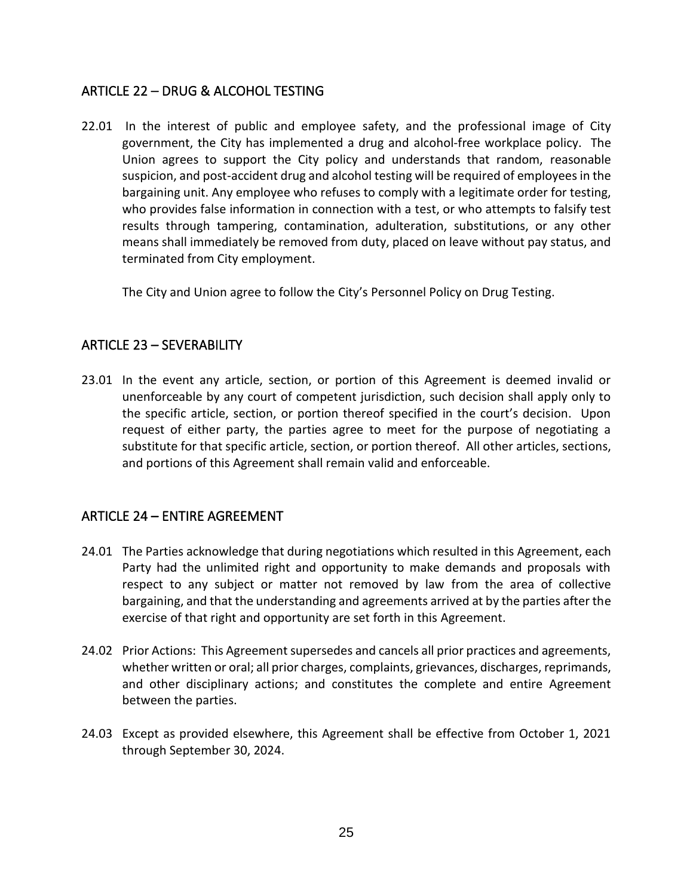## <span id="page-26-0"></span>ARTICLE 22 – DRUG & ALCOHOL TESTING

22.01 In the interest of public and employee safety, and the professional image of City government, the City has implemented a drug and alcohol-free workplace policy. The Union agrees to support the City policy and understands that random, reasonable suspicion, and post-accident drug and alcohol testing will be required of employees in the bargaining unit. Any employee who refuses to comply with a legitimate order for testing, who provides false information in connection with a test, or who attempts to falsify test results through tampering, contamination, adulteration, substitutions, or any other means shall immediately be removed from duty, placed on leave without pay status, and terminated from City employment.

The City and Union agree to follow the City's Personnel Policy on Drug Testing.

## <span id="page-26-1"></span>ARTICLE 23 – SEVERABILITY

23.01 In the event any article, section, or portion of this Agreement is deemed invalid or unenforceable by any court of competent jurisdiction, such decision shall apply only to the specific article, section, or portion thereof specified in the court's decision. Upon request of either party, the parties agree to meet for the purpose of negotiating a substitute for that specific article, section, or portion thereof. All other articles, sections, and portions of this Agreement shall remain valid and enforceable.

## <span id="page-26-2"></span>ARTICLE 24 – ENTIRE AGREEMENT

- 24.01 The Parties acknowledge that during negotiations which resulted in this Agreement, each Party had the unlimited right and opportunity to make demands and proposals with respect to any subject or matter not removed by law from the area of collective bargaining, and that the understanding and agreements arrived at by the parties after the exercise of that right and opportunity are set forth in this Agreement.
- 24.02 Prior Actions: This Agreement supersedes and cancels all prior practices and agreements, whether written or oral; all prior charges, complaints, grievances, discharges, reprimands, and other disciplinary actions; and constitutes the complete and entire Agreement between the parties.
- 24.03 Except as provided elsewhere, this Agreement shall be effective from October 1, 2021 through September 30, 2024.